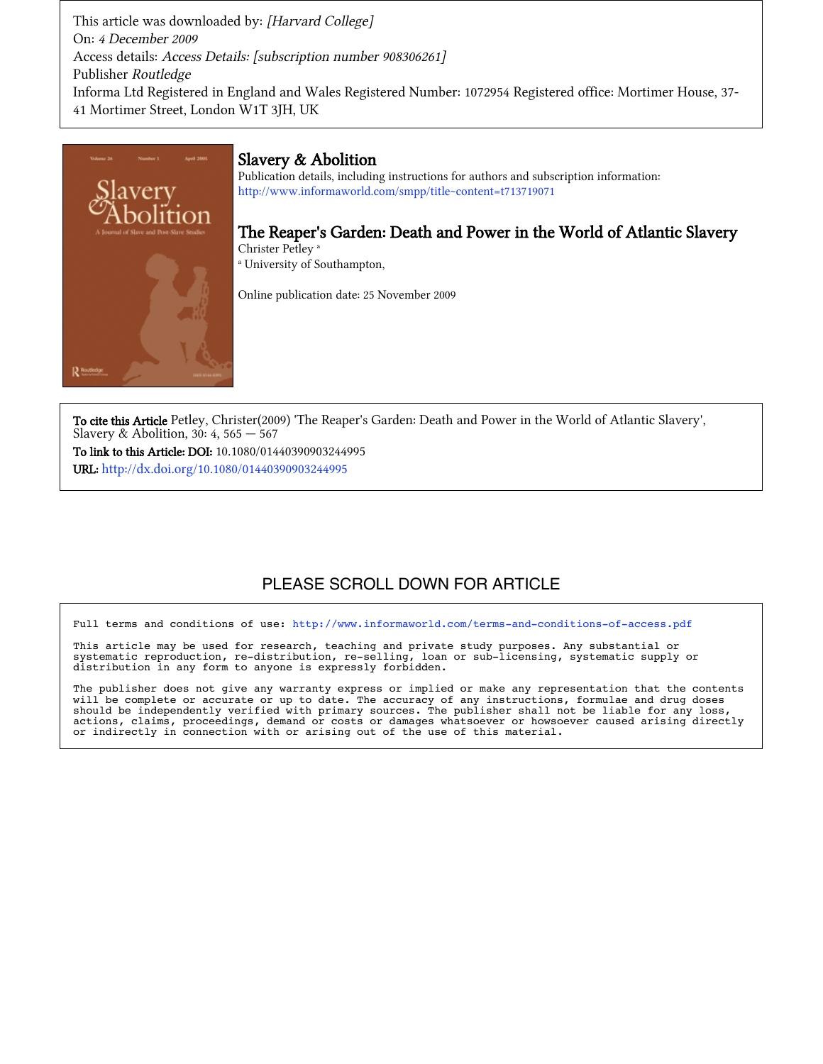This article was downloaded by: [Harvard College] On: 4 December 2009 Access details: Access Details: [subscription number 908306261] Publisher Routledge Informa Ltd Registered in England and Wales Registered Number: 1072954 Registered office: Mortimer House, 37-41 Mortimer Street, London W1T 3JH, UK



## Slavery & Abolition

Publication details, including instructions for authors and subscription information: http://www.informaworld.com/smpp/title~content=t713719071

The Reaper's Garden: Death and Power in the World of Atlantic Slavery Christer Petley<sup>a</sup>

<sup>a</sup> University of Southampton,

Online publication date: 25 November 2009

To cite this Article Petley, Christer(2009) 'The Reaper's Garden: Death and Power in the World of Atlantic Slavery', Slavery & Abolition, 30: 4, 565  $-567$ 

To link to this Article: DOI: 10.1080/01440390903244995 URL: http://dx.doi.org/10.1080/01440390903244995

## PLEASE SCROLL DOWN FOR ARTICLE

Full terms and conditions of use: http://www.informaworld.com/terms-and-conditions-of-access.pdf

This article may be used for research, teaching and private study purposes. Any substantial or systematic reproduction, re-distribution, re-selling, loan or sub-licensing, systematic supply or distribution in any form to anyone is expressly forbidden.

The publisher does not give any warranty express or implied or make any representation that the contents<br>will be complete or accurate or up to date. The accuracy of any instructions, formulae and drug doses<br>should be indep or indirectly in connection with or arising out of the use of this material.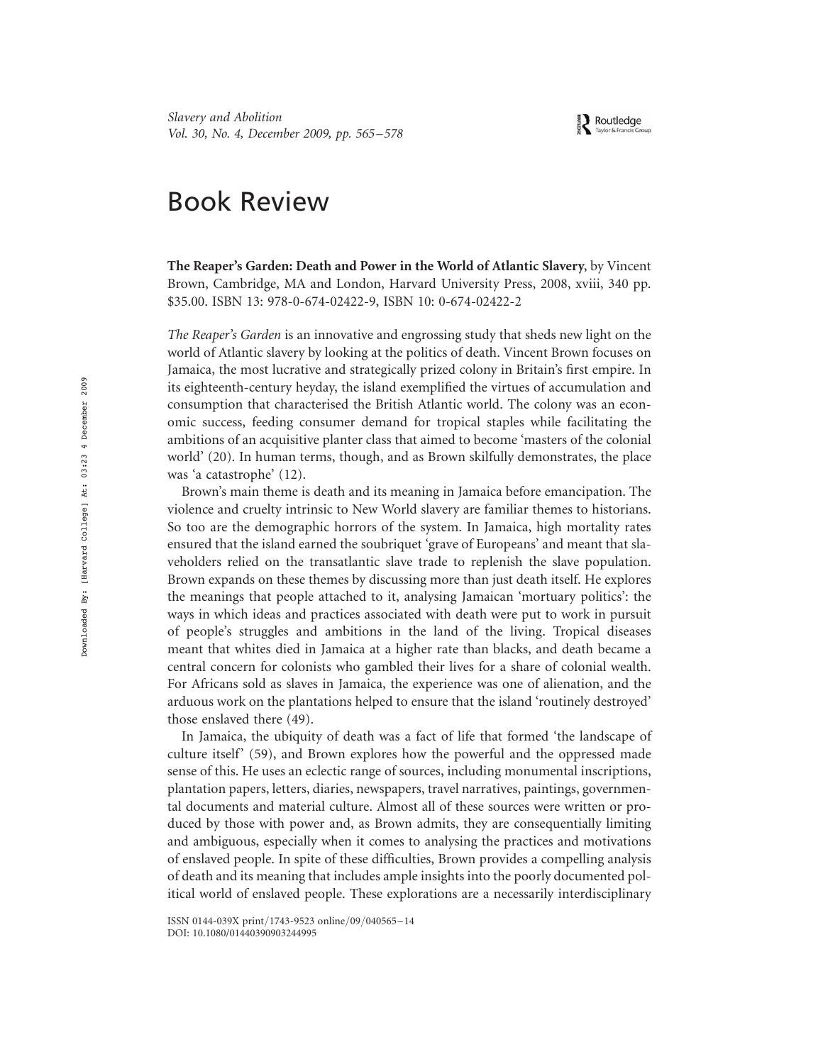## Book Review

The Reaper's Garden: Death and Power in the World of Atlantic Slavery, by Vincent Brown, Cambridge, MA and London, Harvard University Press, 2008, xviii, 340 pp. \$35.00. ISBN 13: 978-0-674-02422-9, ISBN 10: 0-674-02422-2

The Reaper's Garden is an innovative and engrossing study that sheds new light on the world of Atlantic slavery by looking at the politics of death. Vincent Brown focuses on Jamaica, the most lucrative and strategically prized colony in Britain's first empire. In its eighteenth-century heyday, the island exemplified the virtues of accumulation and consumption that characterised the British Atlantic world. The colony was an economic success, feeding consumer demand for tropical staples while facilitating the ambitions of an acquisitive planter class that aimed to become 'masters of the colonial world' (20). In human terms, though, and as Brown skilfully demonstrates, the place was 'a catastrophe' (12).

Brown's main theme is death and its meaning in Jamaica before emancipation. The violence and cruelty intrinsic to New World slavery are familiar themes to historians. So too are the demographic horrors of the system. In Jamaica, high mortality rates ensured that the island earned the soubriquet 'grave of Europeans' and meant that slaveholders relied on the transatlantic slave trade to replenish the slave population. Brown expands on these themes by discussing more than just death itself. He explores the meanings that people attached to it, analysing Jamaican 'mortuary politics': the ways in which ideas and practices associated with death were put to work in pursuit of people's struggles and ambitions in the land of the living. Tropical diseases meant that whites died in Jamaica at a higher rate than blacks, and death became a central concern for colonists who gambled their lives for a share of colonial wealth. For Africans sold as slaves in Jamaica, the experience was one of alienation, and the arduous work on the plantations helped to ensure that the island 'routinely destroyed' those enslaved there (49).

In Jamaica, the ubiquity of death was a fact of life that formed 'the landscape of culture itself' (59), and Brown explores how the powerful and the oppressed made sense of this. He uses an eclectic range of sources, including monumental inscriptions, plantation papers, letters, diaries, newspapers, travel narratives, paintings, governmental documents and material culture. Almost all of these sources were written or produced by those with power and, as Brown admits, they are consequentially limiting and ambiguous, especially when it comes to analysing the practices and motivations of enslaved people. In spite of these difficulties, Brown provides a compelling analysis of death and its meaning that includes ample insights into the poorly documented political world of enslaved people. These explorations are a necessarily interdisciplinary

ISSN 0144-039X print/1743-9523 online/09/040565–14 DOI: 10.1080/01440390903244995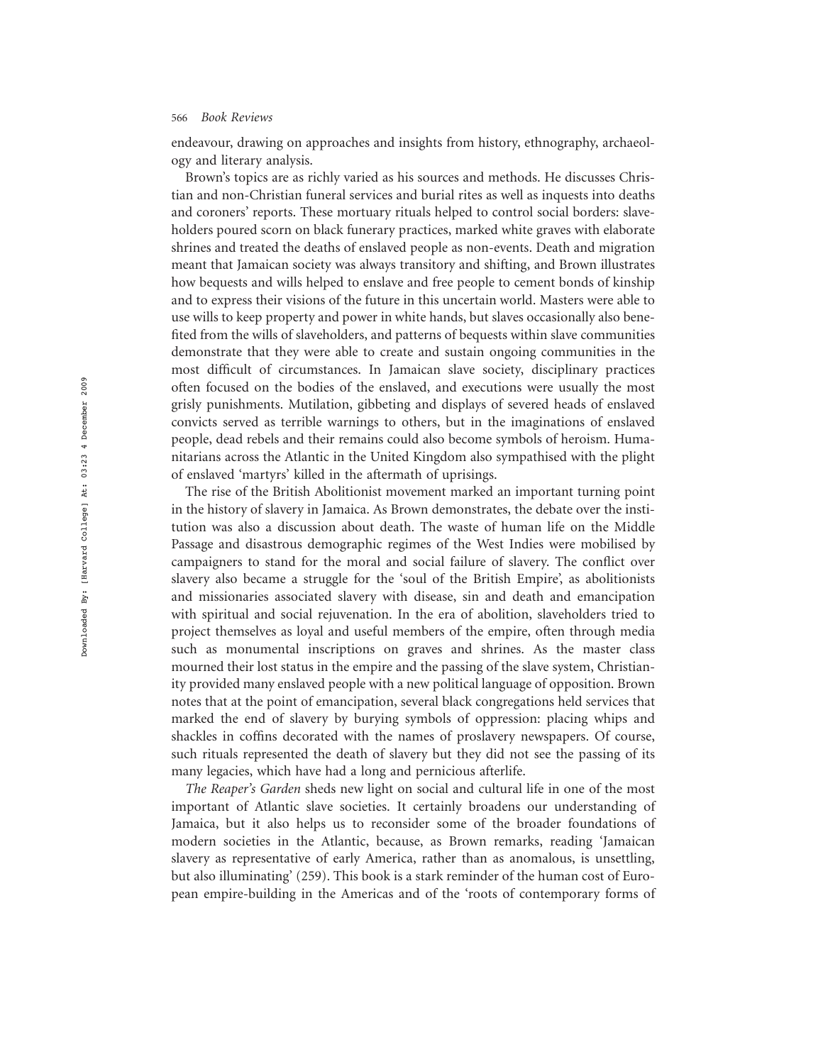## 566 Book Reviews

endeavour, drawing on approaches and insights from history, ethnography, archaeology and literary analysis.

Brown's topics are as richly varied as his sources and methods. He discusses Christian and non-Christian funeral services and burial rites as well as inquests into deaths and coroners' reports. These mortuary rituals helped to control social borders: slaveholders poured scorn on black funerary practices, marked white graves with elaborate shrines and treated the deaths of enslaved people as non-events. Death and migration meant that Jamaican society was always transitory and shifting, and Brown illustrates how bequests and wills helped to enslave and free people to cement bonds of kinship and to express their visions of the future in this uncertain world. Masters were able to use wills to keep property and power in white hands, but slaves occasionally also benefited from the wills of slaveholders, and patterns of bequests within slave communities demonstrate that they were able to create and sustain ongoing communities in the most difficult of circumstances. In Jamaican slave society, disciplinary practices often focused on the bodies of the enslaved, and executions were usually the most grisly punishments. Mutilation, gibbeting and displays of severed heads of enslaved convicts served as terrible warnings to others, but in the imaginations of enslaved people, dead rebels and their remains could also become symbols of heroism. Humanitarians across the Atlantic in the United Kingdom also sympathised with the plight of enslaved 'martyrs' killed in the aftermath of uprisings.

The rise of the British Abolitionist movement marked an important turning point in the history of slavery in Jamaica. As Brown demonstrates, the debate over the institution was also a discussion about death. The waste of human life on the Middle Passage and disastrous demographic regimes of the West Indies were mobilised by campaigners to stand for the moral and social failure of slavery. The conflict over slavery also became a struggle for the 'soul of the British Empire', as abolitionists and missionaries associated slavery with disease, sin and death and emancipation with spiritual and social rejuvenation. In the era of abolition, slaveholders tried to project themselves as loyal and useful members of the empire, often through media such as monumental inscriptions on graves and shrines. As the master class mourned their lost status in the empire and the passing of the slave system, Christianity provided many enslaved people with a new political language of opposition. Brown notes that at the point of emancipation, several black congregations held services that marked the end of slavery by burying symbols of oppression: placing whips and shackles in coffins decorated with the names of proslavery newspapers. Of course, such rituals represented the death of slavery but they did not see the passing of its many legacies, which have had a long and pernicious afterlife.

The Reaper's Garden sheds new light on social and cultural life in one of the most important of Atlantic slave societies. It certainly broadens our understanding of Jamaica, but it also helps us to reconsider some of the broader foundations of modern societies in the Atlantic, because, as Brown remarks, reading 'Jamaican slavery as representative of early America, rather than as anomalous, is unsettling, but also illuminating' (259). This book is a stark reminder of the human cost of European empire-building in the Americas and of the 'roots of contemporary forms of